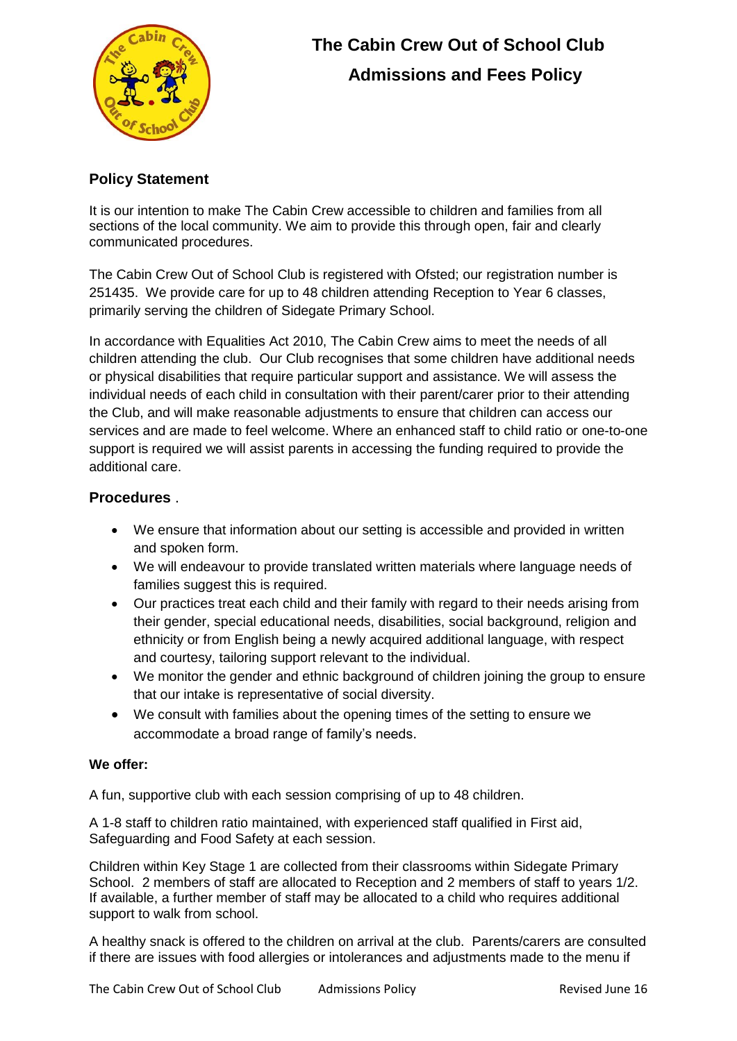

# **Policy Statement**

It is our intention to make The Cabin Crew accessible to children and families from all sections of the local community. We aim to provide this through open, fair and clearly communicated procedures.

The Cabin Crew Out of School Club is registered with Ofsted; our registration number is 251435. We provide care for up to 48 children attending Reception to Year 6 classes, primarily serving the children of Sidegate Primary School.

In accordance with Equalities Act 2010, The Cabin Crew aims to meet the needs of all children attending the club. Our Club recognises that some children have additional needs or physical disabilities that require particular support and assistance. We will assess the individual needs of each child in consultation with their parent/carer prior to their attending the Club, and will make reasonable adjustments to ensure that children can access our services and are made to feel welcome. Where an enhanced staff to child ratio or one-to-one support is required we will assist parents in accessing the funding required to provide the additional care.

## **Procedures** .

- We ensure that information about our setting is accessible and provided in written and spoken form.
- We will endeavour to provide translated written materials where language needs of families suggest this is required.
- Our practices treat each child and their family with regard to their needs arising from their gender, special educational needs, disabilities, social background, religion and ethnicity or from English being a newly acquired additional language, with respect and courtesy, tailoring support relevant to the individual.
- We monitor the gender and ethnic background of children joining the group to ensure that our intake is representative of social diversity.
- We consult with families about the opening times of the setting to ensure we accommodate a broad range of family's needs.

### **We offer:**

A fun, supportive club with each session comprising of up to 48 children.

A 1-8 staff to children ratio maintained, with experienced staff qualified in First aid, Safeguarding and Food Safety at each session.

Children within Key Stage 1 are collected from their classrooms within Sidegate Primary School. 2 members of staff are allocated to Reception and 2 members of staff to years 1/2. If available, a further member of staff may be allocated to a child who requires additional support to walk from school.

A healthy snack is offered to the children on arrival at the club. Parents/carers are consulted if there are issues with food allergies or intolerances and adjustments made to the menu if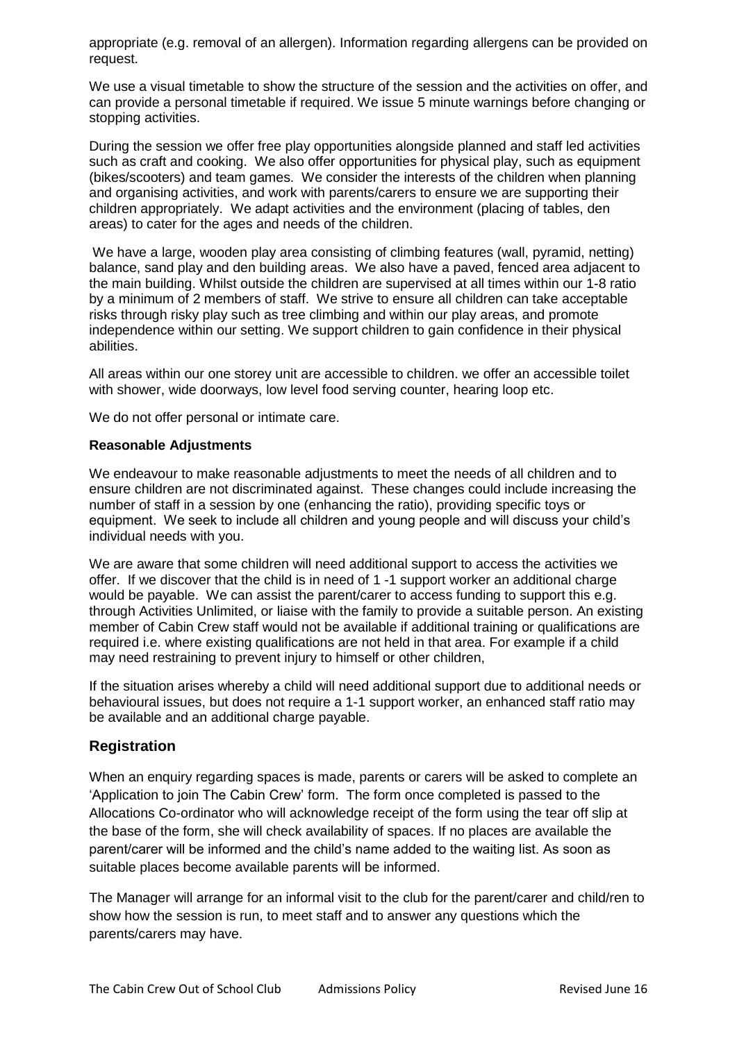appropriate (e.g. removal of an allergen). Information regarding allergens can be provided on request.

We use a visual timetable to show the structure of the session and the activities on offer, and can provide a personal timetable if required. We issue 5 minute warnings before changing or stopping activities.

During the session we offer free play opportunities alongside planned and staff led activities such as craft and cooking. We also offer opportunities for physical play, such as equipment (bikes/scooters) and team games. We consider the interests of the children when planning and organising activities, and work with parents/carers to ensure we are supporting their children appropriately. We adapt activities and the environment (placing of tables, den areas) to cater for the ages and needs of the children.

We have a large, wooden play area consisting of climbing features (wall, pyramid, netting) balance, sand play and den building areas. We also have a paved, fenced area adjacent to the main building. Whilst outside the children are supervised at all times within our 1-8 ratio by a minimum of 2 members of staff. We strive to ensure all children can take acceptable risks through risky play such as tree climbing and within our play areas, and promote independence within our setting. We support children to gain confidence in their physical abilities.

All areas within our one storey unit are accessible to children. we offer an accessible toilet with shower, wide doorways, low level food serving counter, hearing loop etc.

We do not offer personal or intimate care.

#### **Reasonable Adjustments**

We endeavour to make reasonable adjustments to meet the needs of all children and to ensure children are not discriminated against. These changes could include increasing the number of staff in a session by one (enhancing the ratio), providing specific toys or equipment. We seek to include all children and young people and will discuss your child's individual needs with you.

We are aware that some children will need additional support to access the activities we offer. If we discover that the child is in need of 1 -1 support worker an additional charge would be payable. We can assist the parent/carer to access funding to support this e.g. through Activities Unlimited, or liaise with the family to provide a suitable person. An existing member of Cabin Crew staff would not be available if additional training or qualifications are required i.e. where existing qualifications are not held in that area. For example if a child may need restraining to prevent injury to himself or other children,

If the situation arises whereby a child will need additional support due to additional needs or behavioural issues, but does not require a 1-1 support worker, an enhanced staff ratio may be available and an additional charge payable.

#### **Registration**

When an enquiry regarding spaces is made, parents or carers will be asked to complete an 'Application to join The Cabin Crew' form. The form once completed is passed to the Allocations Co-ordinator who will acknowledge receipt of the form using the tear off slip at the base of the form, she will check availability of spaces. If no places are available the parent/carer will be informed and the child's name added to the waiting list. As soon as suitable places become available parents will be informed.

The Manager will arrange for an informal visit to the club for the parent/carer and child/ren to show how the session is run, to meet staff and to answer any questions which the parents/carers may have.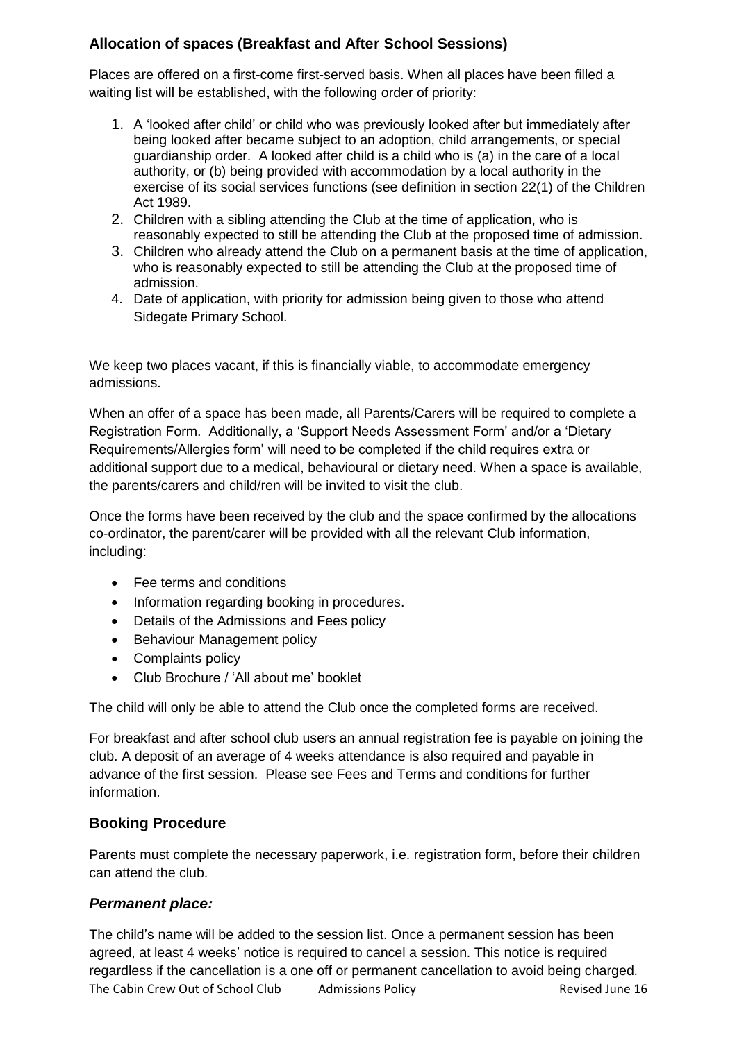# **Allocation of spaces (Breakfast and After School Sessions)**

Places are offered on a first-come first-served basis. When all places have been filled a waiting list will be established, with the following order of priority:

- 1. A 'looked after child' or child who was previously looked after but immediately after being looked after became subject to an adoption, child arrangements, or special guardianship order. A looked after child is a child who is (a) in the care of a local authority, or (b) being provided with accommodation by a local authority in the exercise of its social services functions (see definition in section 22(1) of the Children Act 1989.
- 2. Children with a sibling attending the Club at the time of application, who is reasonably expected to still be attending the Club at the proposed time of admission.
- 3. Children who already attend the Club on a permanent basis at the time of application, who is reasonably expected to still be attending the Club at the proposed time of admission.
- 4. Date of application, with priority for admission being given to those who attend Sidegate Primary School.

We keep two places vacant, if this is financially viable, to accommodate emergency admissions.

When an offer of a space has been made, all Parents/Carers will be required to complete a Registration Form. Additionally, a 'Support Needs Assessment Form' and/or a 'Dietary Requirements/Allergies form' will need to be completed if the child requires extra or additional support due to a medical, behavioural or dietary need. When a space is available, the parents/carers and child/ren will be invited to visit the club.

Once the forms have been received by the club and the space confirmed by the allocations co-ordinator, the parent/carer will be provided with all the relevant Club information, including:

- Fee terms and conditions
- Information regarding booking in procedures.
- Details of the Admissions and Fees policy
- Behaviour Management policy
- Complaints policy
- Club Brochure / 'All about me' booklet

The child will only be able to attend the Club once the completed forms are received.

For breakfast and after school club users an annual registration fee is payable on joining the club. A deposit of an average of 4 weeks attendance is also required and payable in advance of the first session. Please see Fees and Terms and conditions for further information.

## **Booking Procedure**

Parents must complete the necessary paperwork, i.e. registration form, before their children can attend the club.

## *Permanent place:*

The Cabin Crew Out of School Club Admissions Policy **Access 2018** Revised June 16 The child's name will be added to the session list. Once a permanent session has been agreed, at least 4 weeks' notice is required to cancel a session. This notice is required regardless if the cancellation is a one off or permanent cancellation to avoid being charged.